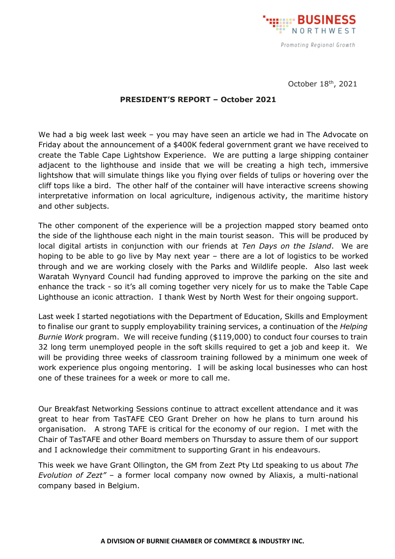

October 18 th, 2021

## **PRESIDENT'S REPORT – October 2021**

We had a big week last week – you may have seen an article we had in The Advocate on Friday about the announcement of a \$400K federal government grant we have received to create the Table Cape Lightshow Experience. We are putting a large shipping container adjacent to the lighthouse and inside that we will be creating a high tech, immersive lightshow that will simulate things like you flying over fields of tulips or hovering over the cliff tops like a bird. The other half of the container will have interactive screens showing interpretative information on local agriculture, indigenous activity, the maritime history and other subjects.

The other component of the experience will be a projection mapped story beamed onto the side of the lighthouse each night in the main tourist season. This will be produced by local digital artists in conjunction with our friends at *Ten Days on the Island*. We are hoping to be able to go live by May next year – there are a lot of logistics to be worked through and we are working closely with the Parks and Wildlife people. Also last week Waratah Wynyard Council had funding approved to improve the parking on the site and enhance the track - so it's all coming together very nicely for us to make the Table Cape Lighthouse an iconic attraction. I thank West by North West for their ongoing support.

Last week I started negotiations with the Department of Education, Skills and Employment to finalise our grant to supply employability training services, a continuation of the *Helping Burnie Work* program. We will receive funding (\$119,000) to conduct four courses to train 32 long term unemployed people in the soft skills required to get a job and keep it. We will be providing three weeks of classroom training followed by a minimum one week of work experience plus ongoing mentoring. I will be asking local businesses who can host one of these trainees for a week or more to call me.

Our Breakfast Networking Sessions continue to attract excellent attendance and it was great to hear from TasTAFE CEO Grant Dreher on how he plans to turn around his organisation. A strong TAFE is critical for the economy of our region. I met with the Chair of TasTAFE and other Board members on Thursday to assure them of our support and I acknowledge their commitment to supporting Grant in his endeavours.

This week we have Grant Ollington, the GM from Zezt Pty Ltd speaking to us about *The Evolution of Zezt"* – a former local company now owned by Aliaxis, a multi-national company based in Belgium.